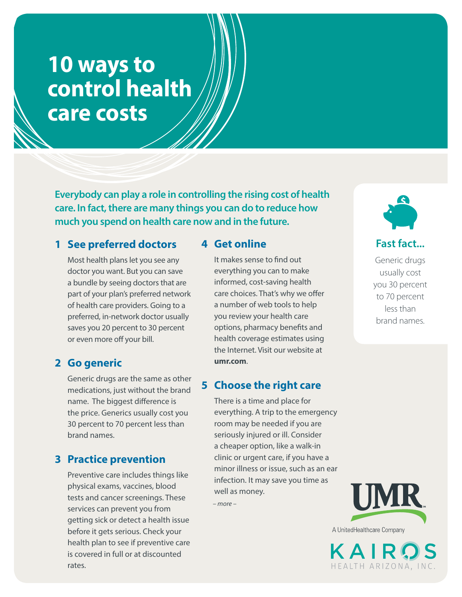# **10 ways to control health care costs**

**Everybody can play a role in controlling the rising cost of health care. In fact, there are many things you can do to reduce how much you spend on health care now and in the future.** 

#### **1 See preferred doctors**

Most health plans let you see any doctor you want. But you can save a bundle by seeing doctors that are part of your plan's preferred network of health care providers. Going to a preferred, in-network doctor usually saves you 20 percent to 30 percent or even more off your bill.

# **2 Go generic**

Generic drugs are the same as other medications, just without the brand name. The biggest difference is the price. Generics usually cost you 30 percent to 70 percent less than brand names.

#### **3 Practice prevention**

Preventive care includes things like physical exams, vaccines, blood tests and cancer screenings. These services can prevent you from getting sick or detect a health issue before it gets serious. Check your health plan to see if preventive care is covered in full or at discounted rates.

#### **4 Get online**

It makes sense to find out everything you can to make informed, cost-saving health care choices. That's why we offer a number of web tools to help you review your health care options, pharmacy benefits and health coverage estimates using the Internet. Visit our website at **umr.com**.

# **5 Choose the right care**

There is a time and place for everything. A trip to the emergency room may be needed if you are seriously injured or ill. Consider a cheaper option, like a walk-in clinic or urgent care, if you have a minor illness or issue, such as an ear infection. It may save you time as well as money.

*– more –*



**Fast fact...**

Generic drugs usually cost you 30 percent to 70 percent less than brand names.



A UnitedHealthcare Company

KAIR HEALTH ARIZONA, INC.